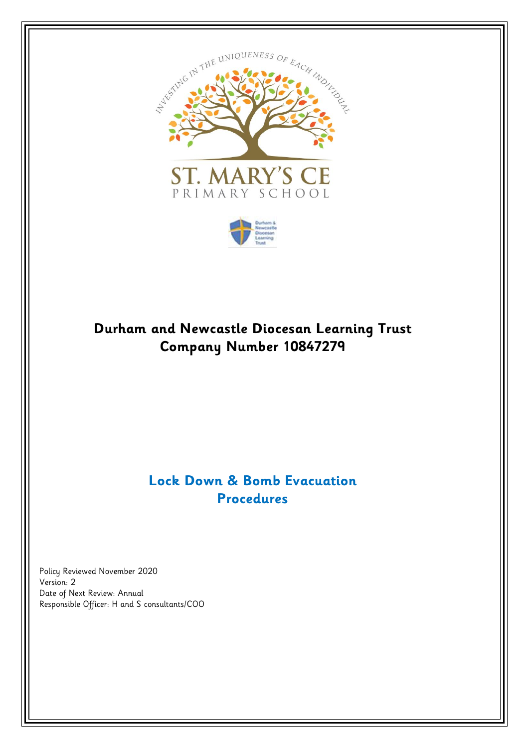



# **Durham and Newcastle Diocesan Learning Trust Company Number 10847279**

## **Lock Down & Bomb Evacuation Procedures**

Policy Reviewed November 2020 Version: 2 Date of Next Review: Annual Responsible Officer: H and S consultants/COO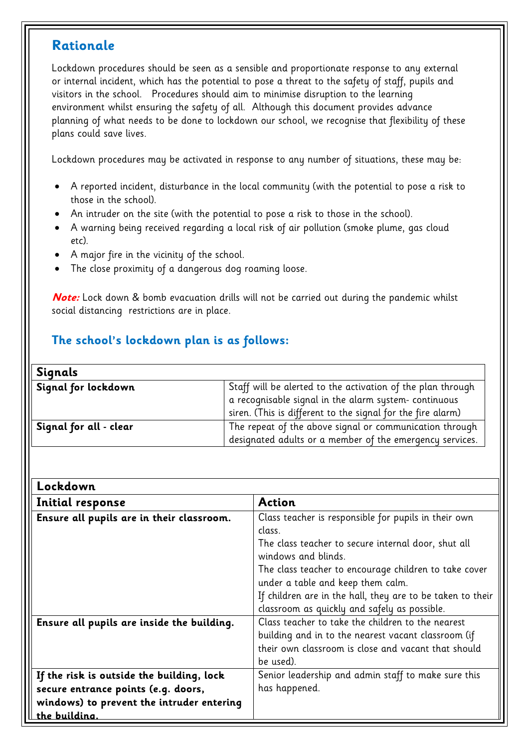## **Rationale**

Lockdown procedures should be seen as a sensible and proportionate response to any external or internal incident, which has the potential to pose a threat to the safety of staff, pupils and visitors in the school. Procedures should aim to minimise disruption to the learning environment whilst ensuring the safety of all. Although this document provides advance planning of what needs to be done to lockdown our school, we recognise that flexibility of these plans could save lives.

Lockdown procedures may be activated in response to any number of situations, these may be:

- A reported incident, disturbance in the local community (with the potential to pose a risk to those in the school).
- An intruder on the site (with the potential to pose a risk to those in the school).
- A warning being received regarding a local risk of air pollution (smoke plume, gas cloud etc).
- A major fire in the vicinity of the school.
- The close proximity of a dangerous dog roaming loose.

**Note:** Lock down & bomb evacuation drills will not be carried out during the pandemic whilst social distancing restrictions are in place.

## **The school's lockdown plan is as follows:**

| Signals                |                                                             |  |
|------------------------|-------------------------------------------------------------|--|
| Signal for lockdown    | Staff will be alerted to the activation of the plan through |  |
|                        | a recognisable signal in the alarm system-continuous        |  |
|                        | siren. (This is different to the signal for the fire alarm) |  |
| Signal for all - clear | The repeat of the above signal or communication through     |  |
|                        | designated adults or a member of the emergency services.    |  |

| Lockdown                                   |                                                                                                                                                                                                                                                                                                          |
|--------------------------------------------|----------------------------------------------------------------------------------------------------------------------------------------------------------------------------------------------------------------------------------------------------------------------------------------------------------|
| Initial response                           | <b>Action</b>                                                                                                                                                                                                                                                                                            |
| Ensure all pupils are in their classroom.  | Class teacher is responsible for pupils in their own<br>class.<br>The class teacher to secure internal door, shut all<br>windows and blinds.<br>The class teacher to encourage children to take cover<br>under a table and keep them calm.<br>If children are in the hall, they are to be taken to their |
| Ensure all pupils are inside the building. | classroom as quickly and safely as possible.<br>Class teacher to take the children to the nearest                                                                                                                                                                                                        |
|                                            | building and in to the nearest vacant classroom (if<br>their own classroom is close and vacant that should<br>be used).                                                                                                                                                                                  |
| If the risk is outside the building, lock  | Senior leadership and admin staff to make sure this                                                                                                                                                                                                                                                      |
| secure entrance points (e.g. doors,        | has happened.                                                                                                                                                                                                                                                                                            |
| windows) to prevent the intruder entering  |                                                                                                                                                                                                                                                                                                          |
| the building.                              |                                                                                                                                                                                                                                                                                                          |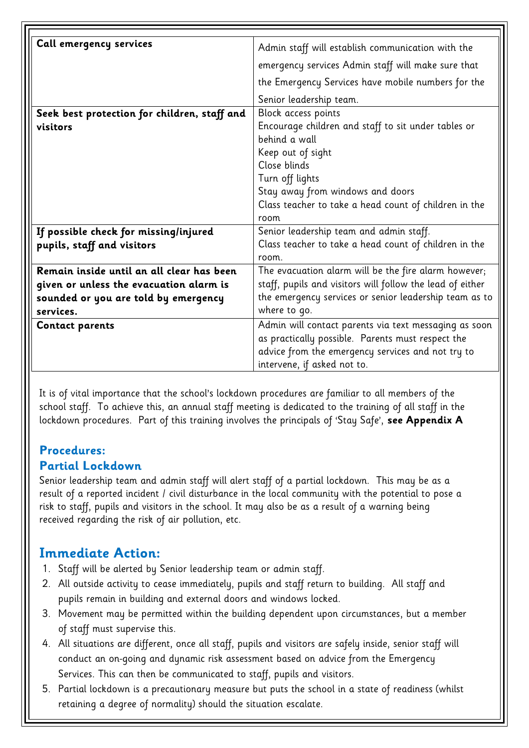| Call emergency services                      | Admin staff will establish communication with the         |  |  |
|----------------------------------------------|-----------------------------------------------------------|--|--|
|                                              | emergency services Admin staff will make sure that        |  |  |
|                                              | the Emergency Services have mobile numbers for the        |  |  |
|                                              | Senior leadership team.                                   |  |  |
| Seek best protection for children, staff and | Block access points                                       |  |  |
| visitors                                     | Encourage children and staff to sit under tables or       |  |  |
|                                              | behind a wall                                             |  |  |
|                                              | Keep out of sight                                         |  |  |
|                                              | Close blinds                                              |  |  |
|                                              | Turn off lights                                           |  |  |
|                                              | Stay away from windows and doors                          |  |  |
|                                              | Class teacher to take a head count of children in the     |  |  |
|                                              | room                                                      |  |  |
| If possible check for missing/injured        | Senior leadership team and admin staff.                   |  |  |
| pupils, staff and visitors                   | Class teacher to take a head count of children in the     |  |  |
|                                              | room.                                                     |  |  |
| Remain inside until an all clear has been    | The evacuation alarm will be the fire alarm however;      |  |  |
| given or unless the evacuation alarm is      | staff, pupils and visitors will follow the lead of either |  |  |
| sounded or you are told by emergency         | the emergency services or senior leadership team as to    |  |  |
| services.                                    | where to go.                                              |  |  |
| <b>Contact parents</b>                       | Admin will contact parents via text messaging as soon     |  |  |
|                                              | as practically possible. Parents must respect the         |  |  |
|                                              | advice from the emergency services and not try to         |  |  |
|                                              | intervene, if asked not to.                               |  |  |
|                                              |                                                           |  |  |

It is of vital importance that the school's lockdown procedures are familiar to all members of the school staff. To achieve this, an annual staff meeting is dedicated to the training of all staff in the lockdown procedures. Part of this training involves the principals of 'Stay Safe', **see Appendix A**

## **Procedures:**

## **Partial Lockdown**

Senior leadership team and admin staff will alert staff of a partial lockdown. This may be as a result of a reported incident / civil disturbance in the local community with the potential to pose a risk to staff, pupils and visitors in the school. It may also be as a result of a warning being received regarding the risk of air pollution, etc.

## **Immediate Action:**

- 1. Staff will be alerted by Senior leadership team or admin staff.
- 2. All outside activity to cease immediately, pupils and staff return to building. All staff and pupils remain in building and external doors and windows locked.
- 3. Movement may be permitted within the building dependent upon circumstances, but a member of staff must supervise this.
- 4. All situations are different, once all staff, pupils and visitors are safely inside, senior staff will conduct an on-going and dynamic risk assessment based on advice from the Emergency Services. This can then be communicated to staff, pupils and visitors.
- 5. Partial lockdown is a precautionary measure but puts the school in a state of readiness (whilst retaining a degree of normality) should the situation escalate.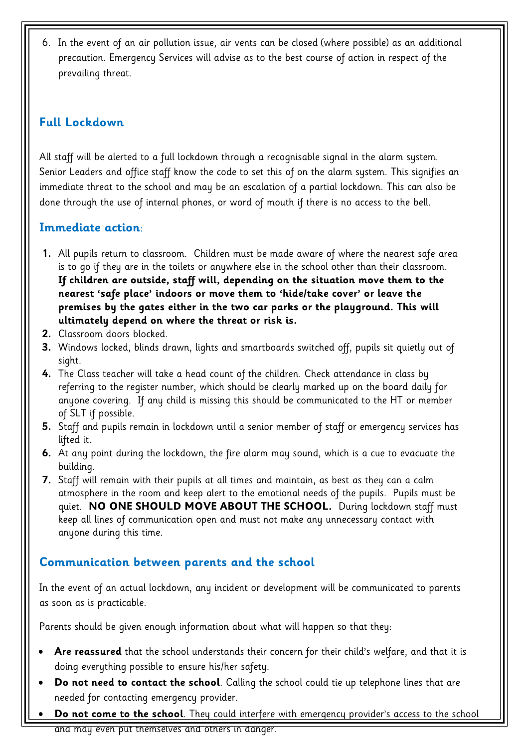6. In the event of an air pollution issue, air vents can be closed (where possible) as an additional precaution. Emergency Services will advise as to the best course of action in respect of the prevailing threat.

## **Full Lockdown**

All staff will be alerted to a full lockdown through a recognisable signal in the alarm system. Senior Leaders and office staff know the code to set this of on the alarm system. This signifies an immediate threat to the school and may be an escalation of a partial lockdown. This can also be done through the use of internal phones, or word of mouth if there is no access to the bell.

## **Immediate action**:

- **1.** All pupils return to classroom. Children must be made aware of where the nearest safe area is to go if they are in the toilets or anywhere else in the school other than their classroom. **If children are outside, staff will, depending on the situation move them to the nearest 'safe place' indoors or move them to 'hide/take cover' or leave the premises by the gates either in the two car parks or the playground. This will ultimately depend on where the threat or risk is.**
- **2.** Classroom doors blocked.
- **3.** Windows locked, blinds drawn, lights and smartboards switched off, pupils sit quietly out of sight.
- **4.** The Class teacher will take a head count of the children. Check attendance in class by referring to the register number, which should be clearly marked up on the board daily for anyone covering. If any child is missing this should be communicated to the HT or member of SLT if possible.
- **5.** Staff and pupils remain in lockdown until a senior member of staff or emergency services has lifted it.
- **6.** At any point during the lockdown, the fire alarm may sound, which is a cue to evacuate the building.
- **7.** Staff will remain with their pupils at all times and maintain, as best as they can a calm atmosphere in the room and keep alert to the emotional needs of the pupils. Pupils must be quiet. **NO ONE SHOULD MOVE ABOUT THE SCHOOL.** During lockdown staff must keep all lines of communication open and must not make any unnecessary contact with anyone during this time.

## **Communication between parents and the school**

In the event of an actual lockdown, any incident or development will be communicated to parents as soon as is practicable.

Parents should be given enough information about what will happen so that they:

- **Are reassured** that the school understands their concern for their child's welfare, and that it is doing everything possible to ensure his/her safety.
- **Do not need to contact the school**. Calling the school could tie up telephone lines that are needed for contacting emergency provider.
- **Do not come to the school**. They could interfere with emergency provider's access to the school and may even put themselves and others in danger.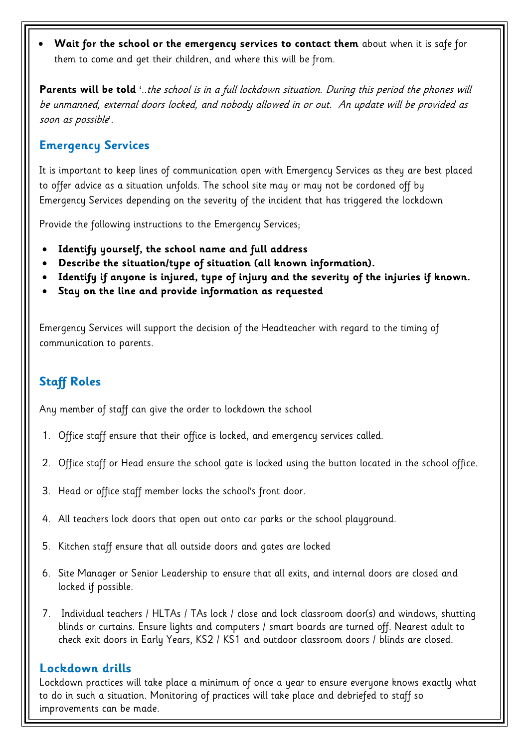• **Wait for the school or the emergency services to contact them** about when it is safe for them to come and get their children, and where this will be from.

**Parents will be told** '..the school is in a full lockdown situation. During this period the phones will be unmanned, external doors locked, and nobody allowed in or out. An update will be provided as soon as possible'.

### **Emergency Services**

It is important to keep lines of communication open with Emergency Services as they are best placed to offer advice as a situation unfolds. The school site may or may not be cordoned off by Emergency Services depending on the severity of the incident that has triggered the lockdown

Provide the following instructions to the Emergency Services;

- **Identify yourself, the school name and full address**
- **Describe the situation/type of situation (all known information).**
- **Identify if anyone is injured, type of injury and the severity of the injuries if known.**
- **Stay on the line and provide information as requested**

Emergency Services will support the decision of the Headteacher with regard to the timing of communication to parents.

## **Staff Roles**

Any member of staff can give the order to lockdown the school

- 1. Office staff ensure that their office is locked, and emergency services called.
- 2. Office staff or Head ensure the school gate is locked using the button located in the school office.
- 3. Head or office staff member locks the school's front door.
- 4. All teachers lock doors that open out onto car parks or the school playground.
- 5. Kitchen staff ensure that all outside doors and gates are locked
- 6. Site Manager or Senior Leadership to ensure that all exits, and internal doors are closed and locked if possible.
- 7. Individual teachers / HLTAs / TAs lock / close and lock classroom door(s) and windows, shutting blinds or curtains. Ensure lights and computers / smart boards are turned off. Nearest adult to check exit doors in Early Years, KS2 / KS1 and outdoor classroom doors / blinds are closed.

### **Lockdown drills**

Lockdown practices will take place a minimum of once a year to ensure everyone knows exactly what to do in such a situation. Monitoring of practices will take place and debriefed to staff so improvements can be made.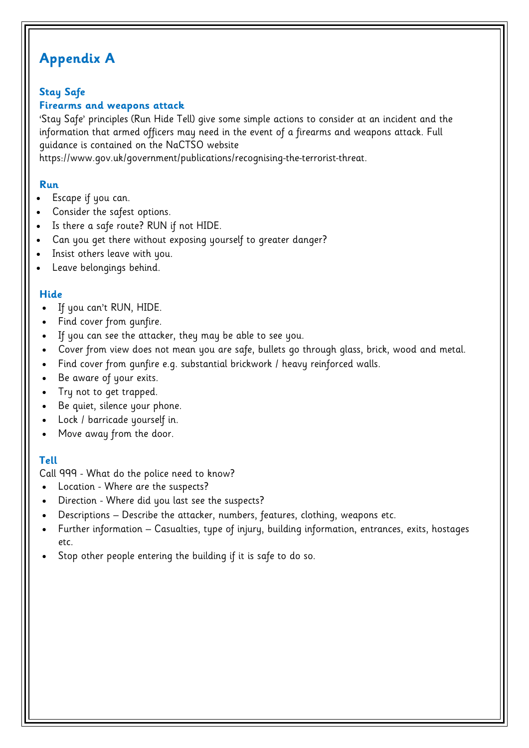# **Appendix A**

## **Stay Safe**

### **Firearms and weapons attack**

'Stay Safe' principles (Run Hide Tell) give some simple actions to consider at an incident and the information that armed officers may need in the event of a firearms and weapons attack. Full guidance is contained on the NaCTSO website

https://www.gov.uk/government/publications/recognising-the-terrorist-threat.

### **Run**

- Escape if you can.
- Consider the safest options.
- Is there a safe route? RUN if not HIDE.
- Can you get there without exposing yourself to greater danger?
- Insist others leave with you.
- Leave belongings behind.

### **Hide**

- If you can't RUN, HIDE.
- Find cover from gunfire.
- If you can see the attacker, they may be able to see you.
- Cover from view does not mean you are safe, bullets go through glass, brick, wood and metal.
- Find cover from gunfire e.g. substantial brickwork / heavy reinforced walls.
- Be aware of your exits.
- Try not to get trapped.
- Be quiet, silence your phone.
- Lock / barricade yourself in.
- Move away from the door.

### **Tell**

Call 999 - What do the police need to know?

- Location Where are the suspects?
- Direction Where did you last see the suspects?
- Descriptions Describe the attacker, numbers, features, clothing, weapons etc.
- Further information Casualties, type of injury, building information, entrances, exits, hostages etc.
- Stop other people entering the building if it is safe to do so.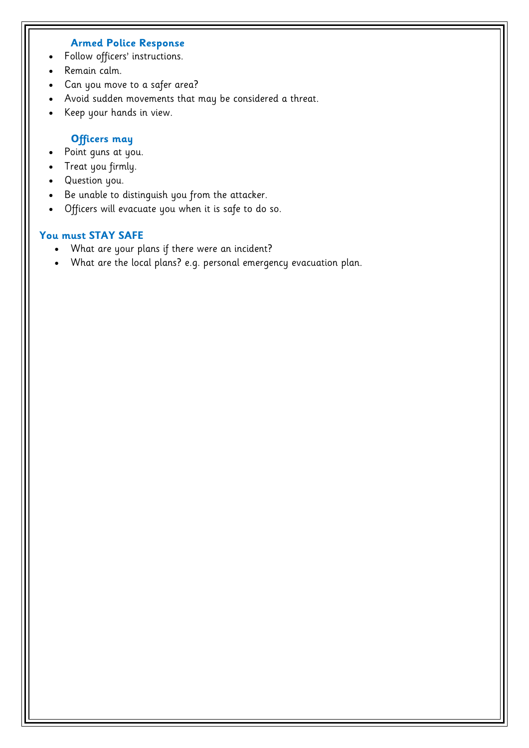#### **Armed Police Response**

- Follow officers' instructions.
- Remain calm.
- Can you move to a safer area?
- Avoid sudden movements that may be considered a threat.
- Keep your hands in view.

#### **Officers may**

- Point guns at you.
- Treat you firmly.
- Question you.
- Be unable to distinguish you from the attacker.
- Officers will evacuate you when it is safe to do so.

#### **You must STAY SAFE**

- What are your plans if there were an incident?
- What are the local plans? e.g. personal emergency evacuation plan.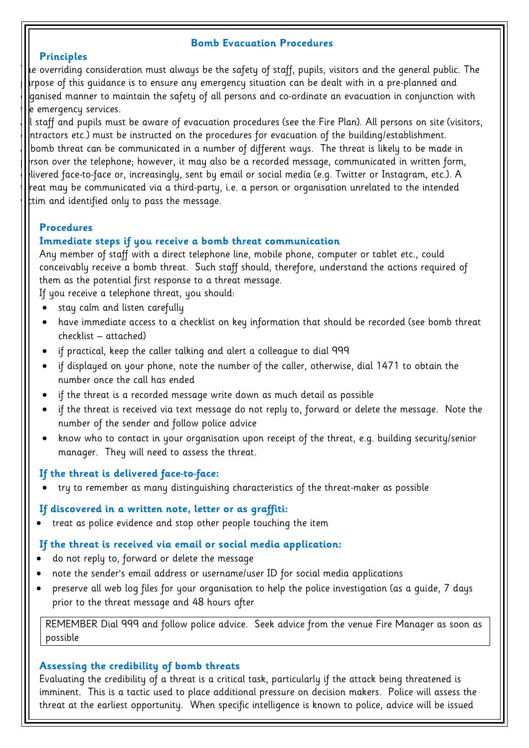#### **Bomb Evacuation Procedures**

#### **Principles**

The overriding consideration must always be the safety of staff, pupils, visitors and the general public. The  $\mu$ rpose of this guidance is to ensure any emergency situation can be dealt with in a pre-planned and  $\beta$ anised manner to maintain the safety of all persons and co-ordinate an evacuation in conjunction with e emergency services.

All staff and pupils must be aware of evacuation procedures (see the Fire Plan). All persons on site (visitors,  $|$ ntractors etc.) must be instructed on the procedures for evacuation of the building/establishment. bomb threat can be communicated in a number of different ways. The threat is likely to be made in  $\vert$ rson over the telephone; however, it may also be a recorded message, communicated in written form, livered face-to-face or, increasingly, sent by email or social media (e.g. Twitter or Instagram, etc.). A reat may be communicated via a third-party, i.e. a person or organisation unrelated to the intended  $\tt{tim}$  and identified only to pass the message.

#### **Procedures**

#### **Immediate steps if you receive a bomb threat communication**

Any member of staff with a direct telephone line, mobile phone, computer or tablet etc., could conceivably receive a bomb threat. Such staff should, therefore, understand the actions required of them as the potential first response to a threat message.

If you receive a telephone threat, you should:

- stay calm and listen carefully
- have immediate access to a checklist on key information that should be recorded (see bomb threat checklist – attached)
- if practical, keep the caller talking and alert a colleague to dial 999
- if displayed on your phone, note the number of the caller, otherwise, dial 1471 to obtain the number once the call has ended
- if the threat is a recorded message write down as much detail as possible
- if the threat is received via text message do not reply to, forward or delete the message. Note the number of the sender and follow police advice
- know who to contact in your organisation upon receipt of the threat, e.g. building security/senior manager. They will need to assess the threat.

#### **If the threat is delivered face-to-face:**

• try to remember as many distinguishing characteristics of the threat-maker as possible

#### **If discovered in a written note, letter or as graffiti:**

• treat as police evidence and stop other people touching the item

#### **If the threat is received via email or social media application:**

- do not reply to, forward or delete the message
- note the sender's email address or username/user ID for social media applications
- preserve all web log files for your organisation to help the police investigation (as a guide, 7 days prior to the threat message and 48 hours after

REMEMBER Dial 999 and follow police advice. Seek advice from the venue Fire Manager as soon as possible

#### **Assessing the credibility of bomb threats**

Evaluating the credibility of a threat is a critical task, particularly if the attack being threatened is imminent. This is a tactic used to place additional pressure on decision makers. Police will assess the threat at the earliest opportunity. When specific intelligence is known to police, advice will be issued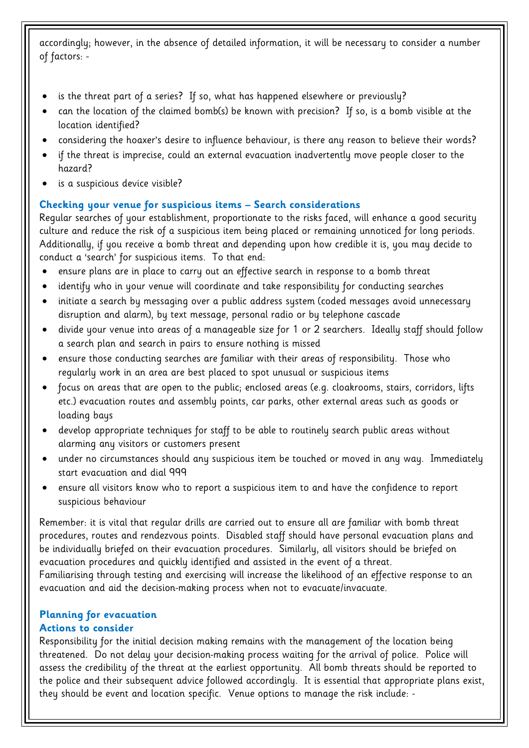accordingly; however, in the absence of detailed information, it will be necessary to consider a number of factors: -

- is the threat part of a series? If so, what has happened elsewhere or previously?
- can the location of the claimed bomb(s) be known with precision? If so, is a bomb visible at the location identified?
- considering the hoaxer's desire to influence behaviour, is there any reason to believe their words?
- if the threat is imprecise, could an external evacuation inadvertently move people closer to the hazard?
- is a suspicious device visible?

#### **Checking your venue for suspicious items – Search considerations**

Regular searches of your establishment, proportionate to the risks faced, will enhance a good security culture and reduce the risk of a suspicious item being placed or remaining unnoticed for long periods. Additionally, if you receive a bomb threat and depending upon how credible it is, you may decide to conduct a 'search' for suspicious items. To that end:

- ensure plans are in place to carry out an effective search in response to a bomb threat
- identify who in your venue will coordinate and take responsibility for conducting searches
- initiate a search by messaging over a public address system (coded messages avoid unnecessary disruption and alarm), by text message, personal radio or by telephone cascade
- divide your venue into areas of a manageable size for 1 or 2 searchers. Ideally staff should follow a search plan and search in pairs to ensure nothing is missed
- ensure those conducting searches are familiar with their areas of responsibility. Those who regularly work in an area are best placed to spot unusual or suspicious items
- focus on areas that are open to the public; enclosed areas (e.g. cloakrooms, stairs, corridors, lifts etc.) evacuation routes and assembly points, car parks, other external areas such as goods or loading bays
- develop appropriate techniques for staff to be able to routinely search public areas without alarming any visitors or customers present
- under no circumstances should any suspicious item be touched or moved in any way. Immediately start evacuation and dial 999
- ensure all visitors know who to report a suspicious item to and have the confidence to report suspicious behaviour

Remember: it is vital that regular drills are carried out to ensure all are familiar with bomb threat procedures, routes and rendezvous points. Disabled staff should have personal evacuation plans and be individually briefed on their evacuation procedures. Similarly, all visitors should be briefed on evacuation procedures and quickly identified and assisted in the event of a threat. Familiarising through testing and exercising will increase the likelihood of an effective response to an evacuation and aid the decision-making process when not to evacuate/invacuate.

### **Planning for evacuation**

#### **Actions to consider**

Responsibility for the initial decision making remains with the management of the location being threatened. Do not delay your decision-making process waiting for the arrival of police. Police will assess the credibility of the threat at the earliest opportunity. All bomb threats should be reported to the police and their subsequent advice followed accordingly. It is essential that appropriate plans exist, they should be event and location specific. Venue options to manage the risk include: -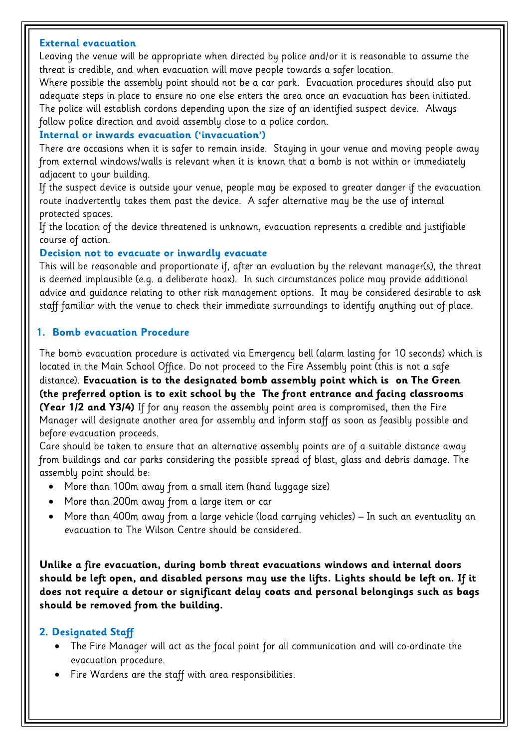#### **External evacuation**

Leaving the venue will be appropriate when directed by police and/or it is reasonable to assume the threat is credible, and when evacuation will move people towards a safer location.

Where possible the assembly point should not be a car park. Evacuation procedures should also put adequate steps in place to ensure no one else enters the area once an evacuation has been initiated. The police will establish cordons depending upon the size of an identified suspect device. Always follow police direction and avoid assembly close to a police cordon.

#### **Internal or inwards evacuation ('invacuation')**

There are occasions when it is safer to remain inside. Staying in your venue and moving people away from external windows/walls is relevant when it is known that a bomb is not within or immediately adjacent to your building.

If the suspect device is outside your venue, people may be exposed to greater danger if the evacuation route inadvertently takes them past the device. A safer alternative may be the use of internal protected spaces.

If the location of the device threatened is unknown, evacuation represents a credible and justifiable course of action.

#### **Decision not to evacuate or inwardly evacuate**

This will be reasonable and proportionate if, after an evaluation by the relevant manager(s), the threat is deemed implausible (e.g. a deliberate hoax). In such circumstances police may provide additional advice and guidance relating to other risk management options. It may be considered desirable to ask staff familiar with the venue to check their immediate surroundings to identify anything out of place.

#### **1. Bomb evacuation Procedure**

The bomb evacuation procedure is activated via Emergency bell (alarm lasting for 10 seconds) which is located in the Main School Office. Do not proceed to the Fire Assembly point (this is not a safe distance). **Evacuation is to the designated bomb assembly point which is on The Green (the preferred option is to exit school by the The front entrance and facing classrooms (Year 1/2 and Y3/4)** If for any reason the assembly point area is compromised, then the Fire Manager will designate another area for assembly and inform staff as soon as feasibly possible and before evacuation proceeds.

Care should be taken to ensure that an alternative assembly points are of a suitable distance away from buildings and car parks considering the possible spread of blast, glass and debris damage. The assembly point should be:

- More than 100m away from a small item (hand luggage size)
- More than 200m away from a large item or car
- More than 400m away from a large vehicle (load carrying vehicles) In such an eventuality an evacuation to The Wilson Centre should be considered.

**Unlike a fire evacuation, during bomb threat evacuations windows and internal doors should be left open, and disabled persons may use the lifts. Lights should be left on. If it does not require a detour or significant delay coats and personal belongings such as bags should be removed from the building.**

#### **2. Designated Staff**

- The Fire Manager will act as the focal point for all communication and will co-ordinate the evacuation procedure.
- Fire Wardens are the staff with area responsibilities.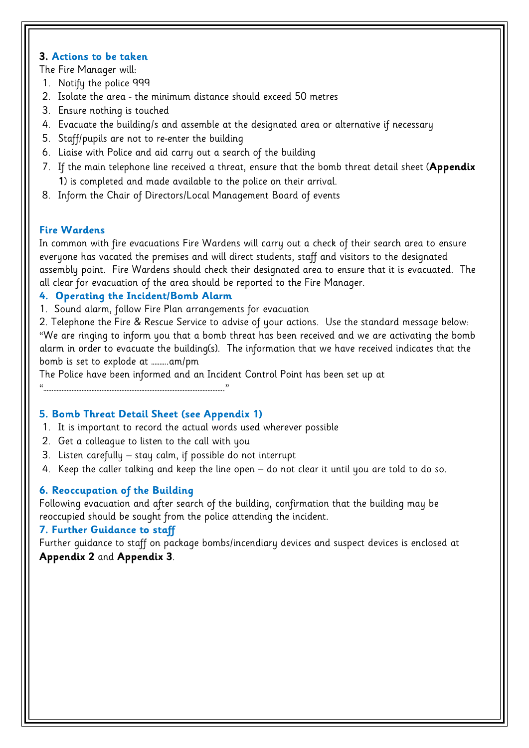#### **3. Actions to be taken**

The Fire Manager will:

- 1. Notify the police 999
- 2. Isolate the area the minimum distance should exceed 50 metres
- 3. Ensure nothing is touched
- 4. Evacuate the building/s and assemble at the designated area or alternative if necessary
- 5. Staff/pupils are not to re-enter the building
- 6. Liaise with Police and aid carry out a search of the building
- 7. If the main telephone line received a threat, ensure that the bomb threat detail sheet (**Appendix 1**) is completed and made available to the police on their arrival.
- 8. Inform the Chair of Directors/Local Management Board of events

#### **Fire Wardens**

In common with fire evacuations Fire Wardens will carry out a check of their search area to ensure everyone has vacated the premises and will direct students, staff and visitors to the designated assembly point. Fire Wardens should check their designated area to ensure that it is evacuated. The all clear for evacuation of the area should be reported to the Fire Manager.

#### **4. Operating the Incident/Bomb Alarm**

1. Sound alarm, follow Fire Plan arrangements for evacuation

2. Telephone the Fire & Rescue Service to advise of your actions. Use the standard message below: "We are ringing to inform you that a bomb threat has been received and we are activating the bomb alarm in order to evacuate the building(s). The information that we have received indicates that the bomb is set to explode at ……….am/pm

The Police have been informed and an Incident Control Point has been set up at

"………………………………………………………………………………………………."

#### **5. Bomb Threat Detail Sheet (see Appendix 1)**

- 1. It is important to record the actual words used wherever possible
- 2. Get a colleague to listen to the call with you
- 3. Listen carefully stay calm, if possible do not interrupt
- 4. Keep the caller talking and keep the line open do not clear it until you are told to do so.

#### **6. Reoccupation of the Building**

Following evacuation and after search of the building, confirmation that the building may be reoccupied should be sought from the police attending the incident.

#### **7. Further Guidance to staff**

Further guidance to staff on package bombs/incendiary devices and suspect devices is enclosed at **Appendix 2** and **Appendix 3**.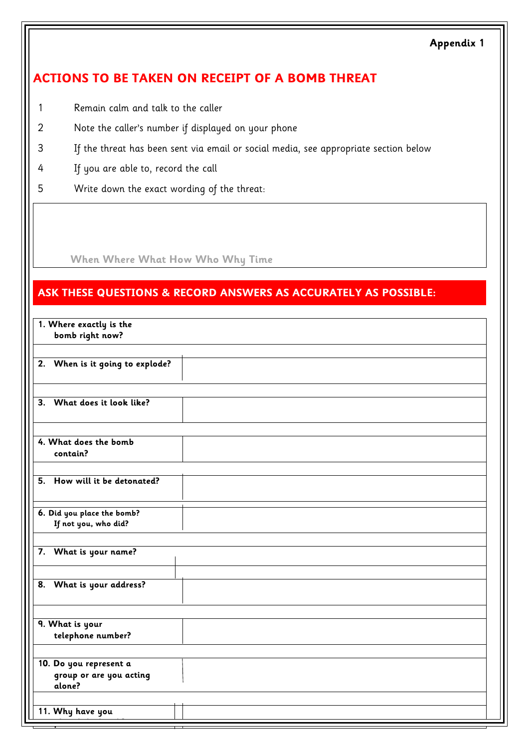#### **Appendix 1**

## **ACTIONS TO BE TAKEN ON RECEIPT OF A BOMB THREAT**

- 1 Remain calm and talk to the caller
- 2 Note the caller's number if displayed on your phone
- 3 If the threat has been sent via email or social media, see appropriate section below
- 4 If you are able to, record the call
- 5 Write down the exact wording of the threat:

**When Where What How Who Why Time**

### **ASK THESE QUESTIONS & RECORD ANSWERS AS ACCURATELY AS POSSIBLE:**

| 1. Where exactly is the<br>bomb right now? |  |
|--------------------------------------------|--|
|                                            |  |
| 2. When is it going to explode?            |  |
|                                            |  |
| 3. What does it look like?                 |  |
|                                            |  |
| 4. What does the bomb<br>contain?          |  |
|                                            |  |
| 5. How will it be detonated?               |  |
| 6. Did you place the bomb?                 |  |
| If not you, who did?                       |  |
|                                            |  |
| 7. What is your name?                      |  |
|                                            |  |
| 8. What is your address?                   |  |
|                                            |  |
| 9. What is your                            |  |
| telephone number?                          |  |
|                                            |  |
| 10. Do you represent a                     |  |
| group or are you acting<br>alone?          |  |
|                                            |  |
| 11. Why have you                           |  |
|                                            |  |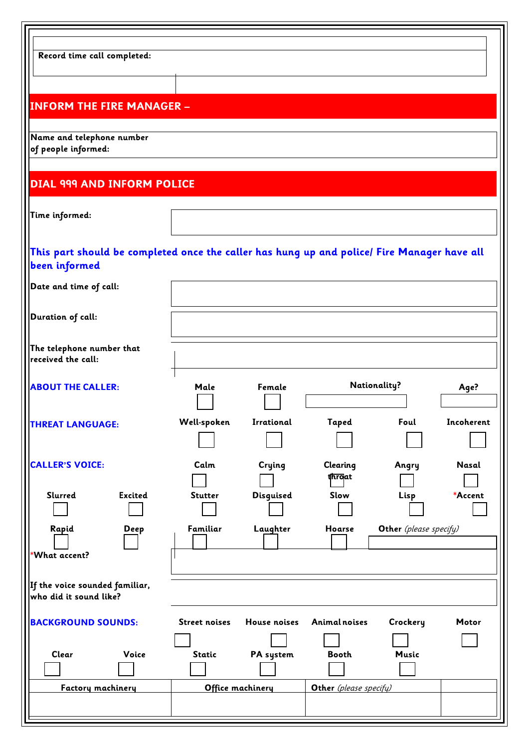| Record time call completed:                                                                                  |                      |                     |                        |                        |            |
|--------------------------------------------------------------------------------------------------------------|----------------------|---------------------|------------------------|------------------------|------------|
| <b>INFORM THE FIRE MANAGER -</b>                                                                             |                      |                     |                        |                        |            |
| Name and telephone number<br>of people informed:                                                             |                      |                     |                        |                        |            |
| <b>DIAL 999 AND INFORM POLICE</b>                                                                            |                      |                     |                        |                        |            |
| Time informed:                                                                                               |                      |                     |                        |                        |            |
| This part should be completed once the caller has hung up and police/ Fire Manager have all<br>been informed |                      |                     |                        |                        |            |
| Date and time of call:                                                                                       |                      |                     |                        |                        |            |
| Duration of call:                                                                                            |                      |                     |                        |                        |            |
| The telephone number that<br>received the call:                                                              |                      |                     |                        |                        |            |
| <b>ABOUT THE CALLER:</b>                                                                                     | Male                 | Female              |                        | <b>Nationality?</b>    | Age?       |
| <b>THREAT LANGUAGE:</b>                                                                                      | Well-spoken          | Irrational          | Taped                  | Foul                   | Incoherent |
| <b>CALLER'S VOICE:</b>                                                                                       | Calm                 | Crying              | Clearing<br>throat     | Angry                  | Nasal      |
| <b>Excited</b><br>Slurred                                                                                    | <b>Stutter</b>       | <b>Disguised</b>    | Slow                   | Lisp                   | *Accent    |
| Rapid<br><b>Deep</b><br>*What accent?                                                                        | Familiar             | Laughter            | Hoarse                 | Other (please specify) |            |
| If the voice sounded familiar,<br>who did it sound like?                                                     |                      |                     |                        |                        |            |
| <b>BACKGROUND SOUNDS:</b>                                                                                    | <b>Street noises</b> | <b>House noises</b> | Animal noises          | Crockery               | Motor      |
| Clear<br>Voice                                                                                               | <b>Static</b>        | PA system           | <b>Booth</b>           | <b>Music</b>           |            |
| Factory machinery                                                                                            |                      | Office machinery    | Other (please specify) |                        |            |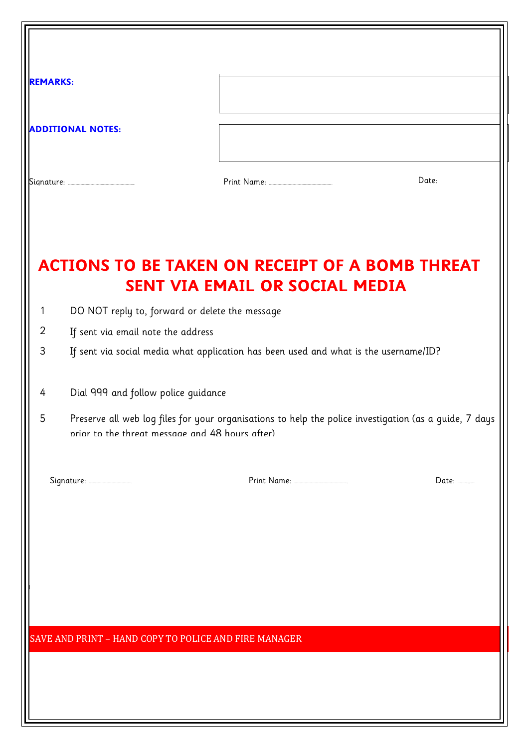| <b>REMARKS:</b> |                                                                                      |                                       |                                                                                                        |  |  |
|-----------------|--------------------------------------------------------------------------------------|---------------------------------------|--------------------------------------------------------------------------------------------------------|--|--|
|                 | <b>ADDITIONAL NOTES:</b>                                                             |                                       |                                                                                                        |  |  |
|                 |                                                                                      |                                       | Date:                                                                                                  |  |  |
|                 | <b>ACTIONS TO BE TAKEN ON RECEIPT OF A BOMB THREAT</b>                               | <b>SENT VIA EMAIL OR SOCIAL MEDIA</b> |                                                                                                        |  |  |
| $\mathbf{1}$    | DO NOT reply to, forward or delete the message                                       |                                       |                                                                                                        |  |  |
| $\overline{2}$  | If sent via email note the address                                                   |                                       |                                                                                                        |  |  |
| 3               | If sent via social media what application has been used and what is the username/ID? |                                       |                                                                                                        |  |  |
| 4               | Dial 999 and follow police guidance                                                  |                                       |                                                                                                        |  |  |
| 5               | prior to the threat message and 48 hours after)                                      |                                       | Preserve all web log files for your organisations to help the police investigation (as a guide, 7 days |  |  |
|                 |                                                                                      |                                       | Date: _____                                                                                            |  |  |
|                 |                                                                                      |                                       |                                                                                                        |  |  |
|                 |                                                                                      |                                       |                                                                                                        |  |  |
|                 |                                                                                      |                                       |                                                                                                        |  |  |
|                 | SAVE AND PRINT - HAND COPY TO POLICE AND FIRE MANAGER                                |                                       |                                                                                                        |  |  |
|                 |                                                                                      |                                       |                                                                                                        |  |  |
|                 |                                                                                      |                                       |                                                                                                        |  |  |
|                 |                                                                                      |                                       |                                                                                                        |  |  |
|                 |                                                                                      |                                       |                                                                                                        |  |  |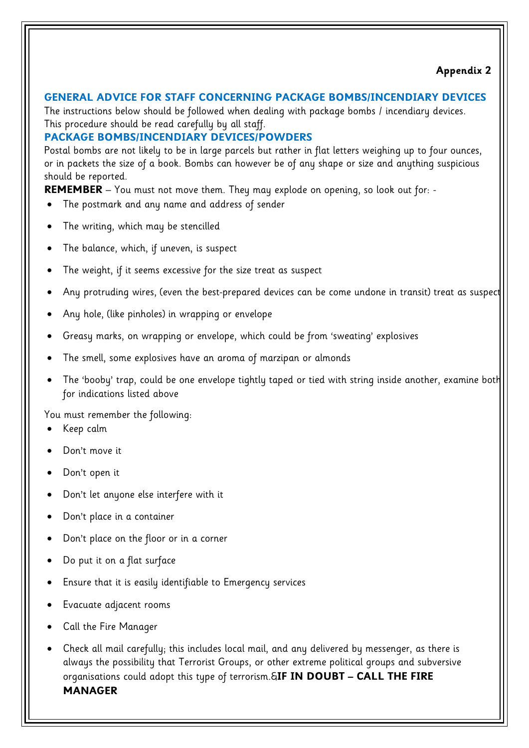#### **GENERAL ADVICE FOR STAFF CONCERNING PACKAGE BOMBS/INCENDIARY DEVICES**

The instructions below should be followed when dealing with package bombs / incendiary devices. This procedure should be read carefully by all staff.

### **PACKAGE BOMBS/INCENDIARY DEVICES/POWDERS**

Postal bombs are not likely to be in large parcels but rather in flat letters weighing up to four ounces, or in packets the size of a book. Bombs can however be of any shape or size and anything suspicious should be reported.

**REMEMBER** – You must not move them. They may explode on opening, so look out for: -

- The postmark and any name and address of sender
- The writing, which may be stencilled
- The balance, which, if uneven, is suspect
- The weight, if it seems excessive for the size treat as suspect
- Any protruding wires, (even the best-prepared devices can be come undone in transit) treat as suspect
- Any hole, (like pinholes) in wrapping or envelope
- Greasy marks, on wrapping or envelope, which could be from 'sweating' explosives
- The smell, some explosives have an aroma of marzipan or almonds
- The 'booby' trap, could be one envelope tightly taped or tied with string inside another, examine both for indications listed above

You must remember the following:

- Keep calm
- Don't move it
- Don't open it
- Don't let anyone else interfere with it
- Don't place in a container
- Don't place on the floor or in a corner
- Do put it on a flat surface
- Ensure that it is easily identifiable to Emergency services
- Evacuate adjacent rooms
- Call the Fire Manager
- Check all mail carefully; this includes local mail, and any delivered by messenger, as there is always the possibility that Terrorist Groups, or other extreme political groups and subversive organisations could adopt this type of terrorism.#**IF IN DOUBT – CALL THE FIRE MANAGER**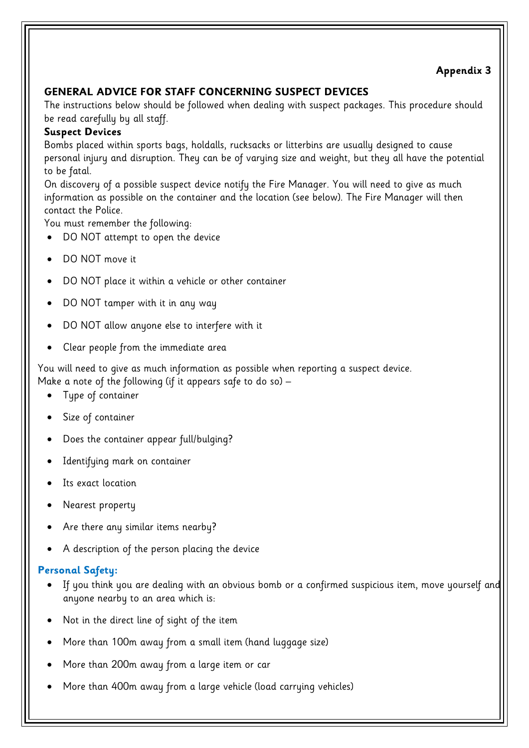## **Appendix 3**

### **GENERAL ADVICE FOR STAFF CONCERNING SUSPECT DEVICES**

The instructions below should be followed when dealing with suspect packages. This procedure should be read carefully by all staff.

#### **Suspect Devices**

Bombs placed within sports bags, holdalls, rucksacks or litterbins are usually designed to cause personal injury and disruption. They can be of varying size and weight, but they all have the potential to be fatal.

On discovery of a possible suspect device notify the Fire Manager. You will need to give as much information as possible on the container and the location (see below). The Fire Manager will then contact the Police.

You must remember the following:

- DO NOT attempt to open the device
- DO NOT move it
- DO NOT place it within a vehicle or other container
- DO NOT tamper with it in any way
- DO NOT allow anyone else to interfere with it
- Clear people from the immediate area

You will need to give as much information as possible when reporting a suspect device. Make a note of the following (if it appears safe to do so) –

- Type of container
- Size of container
- Does the container appear full/bulging?
- Identifying mark on container
- Its exact location
- Nearest property
- Are there any similar items nearby?
- A description of the person placing the device

#### **Personal Safety:**

- If you think you are dealing with an obvious bomb or a confirmed suspicious item, move yourself and anyone nearby to an area which is:
- Not in the direct line of sight of the item
- More than 100m away from a small item (hand luggage size)
- More than 200m away from a large item or car
- More than 400m away from a large vehicle (load carrying vehicles)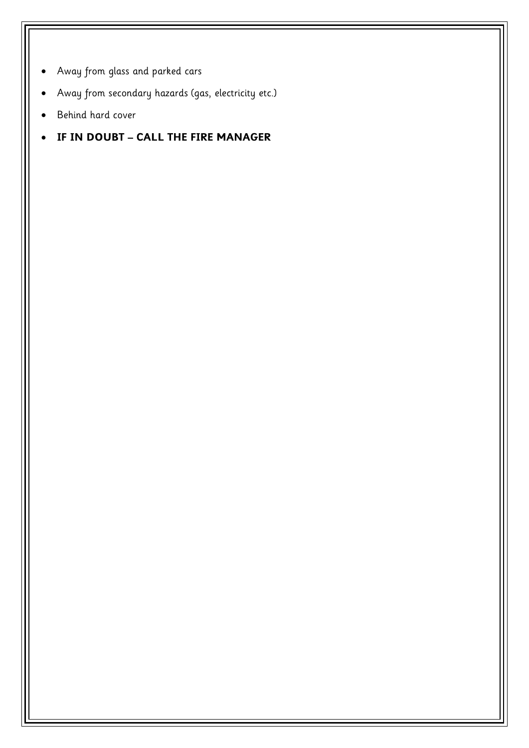- Away from glass and parked cars
- Away from secondary hazards (gas, electricity etc.)
- Behind hard cover
- **IF IN DOUBT – CALL THE FIRE MANAGER**